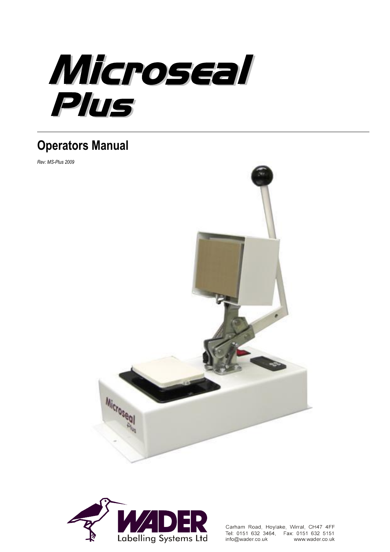

# **Operators Manual**

*Rev: MS-Plus 2009*





Carham Road, Hoylake, Wirral, CH47 4FF Tel: 0151 632 3464, Fax: 0151 632 5151 info@wader.co.uk www.wader.co.uk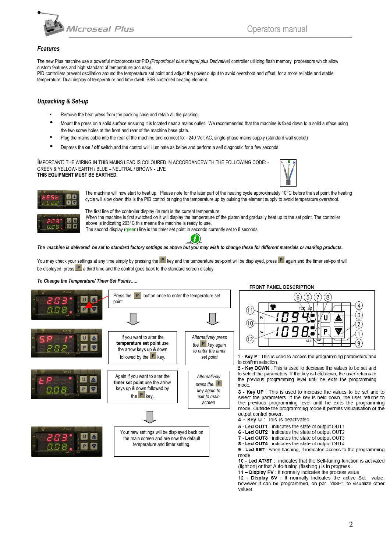

## *Features*

The new Plus machine use a powerful microprocessor PID *(Proportional plus Integral plus Derivative)* controller utilizing flash memory processors which allow custom features and high standard of temperature accuracy.

PID controllers prevent oscillation around the temperature set point and adjust the power output to avoid overshoot and offset, for a more reliable and stable temperature. Dual display of temperature and time dwell. SSR controlled heating element.

## *Unpacking & Set-up*

- Remove the heat press from the packing case and retain all the packing.
- Mount the press on a solid surface ensuring it is located near a mains outlet. We recommended that the machine is fixed down to a solid surface using the two screw holes at the front and rear of the machine base plate.
- Plug the mains cable into the rear of the machine and connect to: 240 Volt AC, single-phase mains supply (standard wall socket)
- Depress the **on / off** switch and the control will illuminate as below and perform a self diagnostic for a few seconds.

IMPORTANT: THE WIRING IN THIS MAINS LEAD IS COLOURED IN ACCORDANCEWITH THE FOLLOWING CODE: - GREEN & YELLOW- EARTH / BLUE – NEUTRAL / BROWN - LIVE **THIS EQUIPMENT MUST BE EARTHED.**





The machine will now start to heat up. Please note for the later part of the heating cycle approximately 10°C before the set point the heating cycle will slow down this is the PID control bringing the temperature up by pulsing the element supply to avoid temperature overshoot.

The first line of the controller display (in red) is the current temperature. When the machine is first switched on it will display the temperature of the platen and gradually heat up to the set point. The controller above is indicating 203°C this means the machine is ready to use. The second display (green) line is the timer set point in seconds currently set to 8 seconds.

*The machine is delivered be set to standard factory settings as above but you may wish to change these for different materials or marking products.*

i

You may check your settings at any time simply by pressing the  $\mathbb{P}$  key and the temperature set-point will be displayed, press  $\mathbb{P}$  again and the timer set-point will be displayed, press  $\mathbf{P}$  a third time and the control goes back to the standard screen display

*To Change the Temperature/ Timer Set Points…..*



11 - Display PV : It normally indicates the process value

12 - Display SV : It normally indicates the active Set value, however it can be programmed, on par. "diSP", to visualize other values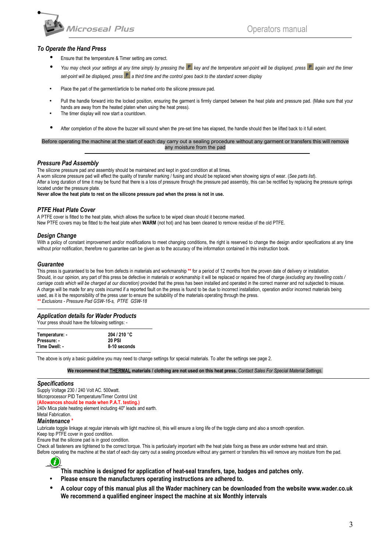

## *To Operate the Hand Press*

- Ensure that the temperature & Timer setting are correct.
- *You may check your settings at any time simply by pressing the* **P** key and the temperature set-point will be displayed, press **P** again and the timer set-point will be displayed, press **P** a third time and the control goes back to the standard screen display
- Place the part of the garment/article to be marked onto the silicone pressure pad.
- Pull the handle forward into the locked position, ensuring the garment is firmly clamped between the heat plate and pressure pad. (Make sure that your hands are away from the heated platen when using the heat press).
- The timer display will now start a countdown.
- After completion of the above the buzzer will sound when the pre-set time has elapsed, the handle should then be lifted back to it full extent.

Before operating the machine at the start of each day carry out a sealing procedure without any garment or transfers this will remove any moisture from the pad

#### *Pressure Pad Assembly*

The silicone pressure pad and assembly should be maintained and kept in good condition at all times.

A worn silicone pressure pad will effect the quality of transfer marking / fusing and should be replaced when showing signs of wear. (*See parts list*). After a long duration of time it may be found that there is a loss of pressure through the pressure pad assembly, this can be rectified by replacing the pressure springs located under the pressure plate.

**Never allow the heat plate to rest on the silicone pressure pad when the press is not in use.**

#### *PTFE Heat Plate Cover*

A PTFE cover is fitted to the heat plate, which allows the surface to be wiped clean should it become marked. New PTFE covers may be fitted to the heat plate when **WARM** (not hot) and has been cleaned to remove residue of the old PTFE.

#### *Design Change*

With a policy of constant improvement and/or modifications to meet changing conditions, the right is reserved to change the design and/or specifications at any time without prior notification, therefore no guarantee can be given as to the accuracy of the information contained in this instruction book.

#### *Guarantee*

This press is guaranteed to be free from defects in materials and workmanship **\*\*** for a period of 12 months from the proven date of delivery or installation. Should, in our opinion, any part of this press be defective in materials or workmanship it will be replaced or repaired free of charge *(excluding any travelling costs / carriage costs which will be charged at our discretion)* provided that the press has been installed and operated in the correct manner and not subjected to misuse. A charge will be made for any costs incurred if a reported fault on the press is found to be due to incorrect installation, operation and/or incorrect materials being used, as it is the responsibility of the press user to ensure the suitability of the materials operating through the press. *\*\* Exclusions - Pressure Pad GSW-16-s, PTFE GSW-18*

## *Application details for Wader Products*

Your press should have the following settings: -

| Temperature: - | 204/210 °C    |
|----------------|---------------|
| Pressure: -    | <b>20 PSI</b> |
| Time Dwell: -  | 8-10 seconds  |

The above is only a basic guideline you may need to change settings for special materials. To alter the settings see page 2.

**We recommend that THERMAL materials / clothing are not used on this heat press.** *Contact Sales For Special Material Settings.*

#### *Specifications*

Supply Voltage 230 / 240 Volt AC. 500watt. Microprocessor PID Temperature/Timer Control Unit

**(Allowances should be made when P.A.T. testing.)**

240v Mica plate heating element including 40" leads and earth.

#### Metal Fabrication. *Maintenance* \*

Lubricate toggle linkage at regular intervals with light machine oil, this will ensure a long life of the toggle clamp and also a smooth operation.

Keep top PTFE cover in good condition. Ensure that the silicone pad is in good condition.

Check all fasteners are tightened to the correct torque. This is particularly important with the heat plate fixing as these are under extreme heat and strain.

Before operating the machine at the start of each day carry out a sealing procedure without any garment or transfers this will remove any moisture from the pad.



**This machine is designed for application of heat-seal transfers, tape, badges and patches only.**

- **Please ensure the manufacturers operating instructions are adhered to.**
- **A colour copy of this manual plus all the Wader machinery can be downloaded from the website [www.wader.co.uk](http://www.wader.co.uk/) We recommend a qualified engineer inspect the machine at six Monthly intervals**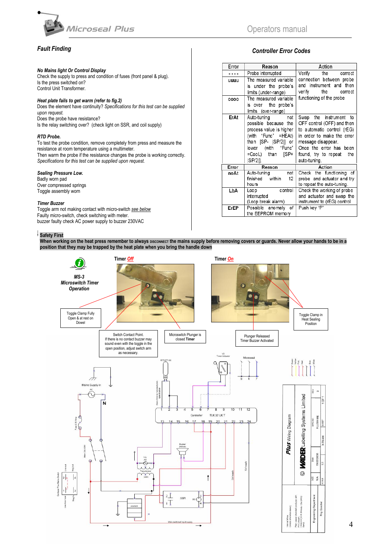

## *No Mains light Or Control Display*

Check the supply to press and condition of fuses (front panel & plug). Is the press switched on? Control Unit Transformer.

#### *Heat plate fails to get warm (refer to fig.2)*

Does the element have continuity? *Specifications for this test can be supplied upon request.* Does the probe have resistance?

Is the relay switching over? (check light on SSR, and coil supply)

#### *RTD Probe.*

To test the probe condition, remove completely from press and measure the resistance at room temperature using a multimeter. Then warm the probe if the resistance changes the probe is working correctly. *Specifications for this test can be supplied upon request.*

#### *Sealing Pressure Low.*

Badly worn pad Over compressed springs Toggle assembly worn

#### *Timer Buzzer*

Toggle arm not making contact with micro-switch *see below* Faulty micro-switch, check switching with meter. buzzer faulty check AC power supply to buzzer 230VAC

## **. Safety First**

When working on the heat press remember to always **bisconnect** the mains supply before removing covers or guards. Never allow your hands to be in a **position that they may be trapped by the heat plate when you bring the handle down**



# *Controller Error Codes*

| Error | Reason                                                                                                                                                                       | Action                                                                                                                                                                                                              |
|-------|------------------------------------------------------------------------------------------------------------------------------------------------------------------------------|---------------------------------------------------------------------------------------------------------------------------------------------------------------------------------------------------------------------|
|       | Probe interrupted                                                                                                                                                            | Verify<br>the correct                                                                                                                                                                                               |
| uuuu  | The measured variable<br>is under the probe's<br>limits (under-range)                                                                                                        | connection between probe<br>and instrument and then<br>verify<br>the<br>correct                                                                                                                                     |
| 0000  | The measured variable<br>is over the probe's<br>limits (over-range)                                                                                                          | functioning of the probe                                                                                                                                                                                            |
| ErAt  | Auto-tuning<br>not<br>possible because the<br>process value is higher<br>(with "Func" =HEAt)<br>than [SP-  SP/2 ] or<br>lower (with "Func"<br>ISP+<br>=CooL) than<br>SP/211. | Swap the instrument to<br>OFF control (OFF) and then<br>to automatic control (rEG)<br>in order to make the error<br>message disappear.<br>Once the error has<br>been<br>the<br>found, try to repeat<br>auto-tuning. |
| Error | Reason                                                                                                                                                                       | Action                                                                                                                                                                                                              |
| noAt  | Auto-tuning<br>not<br>finished within<br>12<br>hours                                                                                                                         | Check the functioning<br>οf<br>probe and actuator and try<br>to repeat the auto-tuning.                                                                                                                             |
| LbA   | control<br>Loop<br>interrupted<br>(Loop break alarm)                                                                                                                         | Check the working of probe<br>and actuator and swap the<br>instrument to (rEG) control                                                                                                                              |
| ErEP  | Possible anomaly<br>οf<br>the EEPROM memory                                                                                                                                  | Push key "P"                                                                                                                                                                                                        |